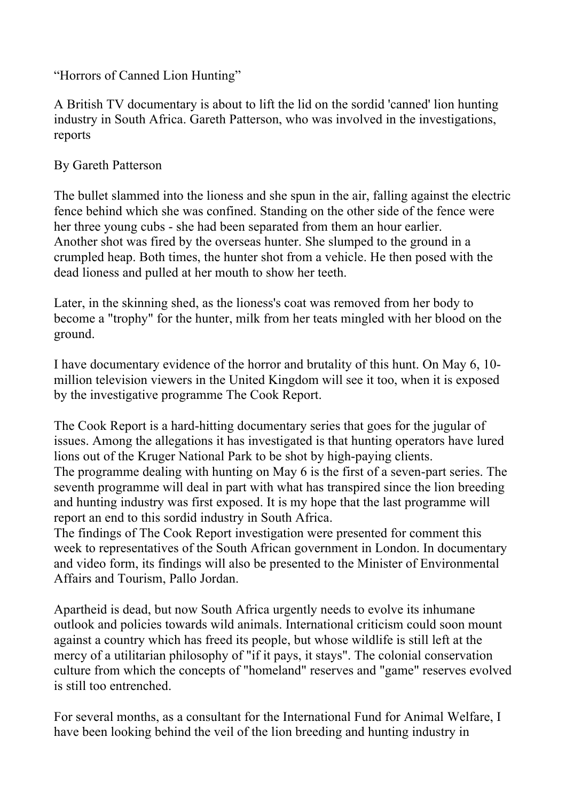"Horrors of Canned Lion Hunting"

A British TV documentary is about to lift the lid on the sordid 'canned' lion hunting industry in South Africa. Gareth Patterson, who was involved in the investigations, reports

## By Gareth Patterson

The bullet slammed into the lioness and she spun in the air, falling against the electric fence behind which she was confined. Standing on the other side of the fence were her three young cubs - she had been separated from them an hour earlier. Another shot was fired by the overseas hunter. She slumped to the ground in a crumpled heap. Both times, the hunter shot from a vehicle. He then posed with the dead lioness and pulled at her mouth to show her teeth.

Later, in the skinning shed, as the lioness's coat was removed from her body to become a "trophy" for the hunter, milk from her teats mingled with her blood on the ground.

I have documentary evidence of the horror and brutality of this hunt. On May 6, 10 million television viewers in the United Kingdom will see it too, when it is exposed by the investigative programme The Cook Report.

The Cook Report is a hard-hitting documentary series that goes for the jugular of issues. Among the allegations it has investigated is that hunting operators have lured lions out of the Kruger National Park to be shot by high-paying clients. The programme dealing with hunting on May 6 is the first of a seven-part series. The seventh programme will deal in part with what has transpired since the lion breeding and hunting industry was first exposed. It is my hope that the last programme will report an end to this sordid industry in South Africa.

The findings of The Cook Report investigation were presented for comment this week to representatives of the South African government in London. In documentary and video form, its findings will also be presented to the Minister of Environmental Affairs and Tourism, Pallo Jordan.

Apartheid is dead, but now South Africa urgently needs to evolve its inhumane outlook and policies towards wild animals. International criticism could soon mount against a country which has freed its people, but whose wildlife is still left at the mercy of a utilitarian philosophy of "if it pays, it stays". The colonial conservation culture from which the concepts of "homeland" reserves and "game" reserves evolved is still too entrenched.

For several months, as a consultant for the International Fund for Animal Welfare, I have been looking behind the veil of the lion breeding and hunting industry in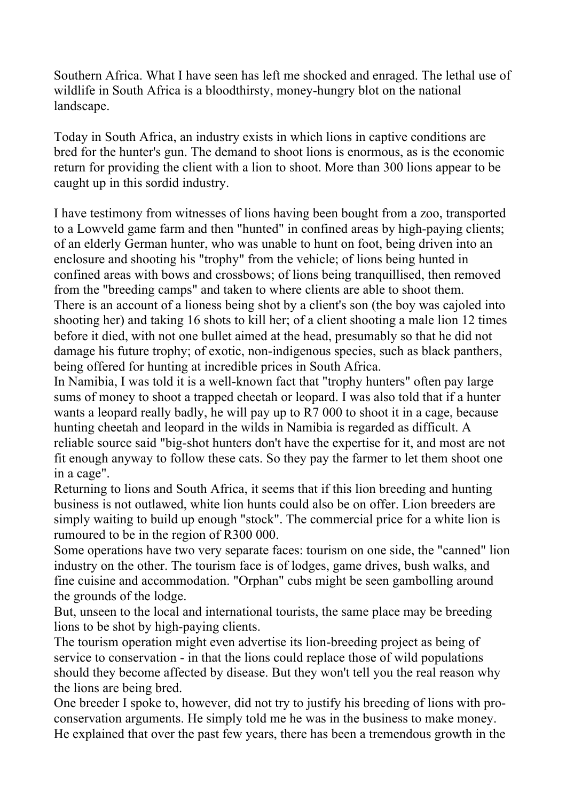Southern Africa. What I have seen has left me shocked and enraged. The lethal use of wildlife in South Africa is a bloodthirsty, money-hungry blot on the national landscape.

Today in South Africa, an industry exists in which lions in captive conditions are bred for the hunter's gun. The demand to shoot lions is enormous, as is the economic return for providing the client with a lion to shoot. More than 300 lions appear to be caught up in this sordid industry.

I have testimony from witnesses of lions having been bought from a zoo, transported to a Lowveld game farm and then "hunted" in confined areas by high-paying clients; of an elderly German hunter, who was unable to hunt on foot, being driven into an enclosure and shooting his "trophy" from the vehicle; of lions being hunted in confined areas with bows and crossbows; of lions being tranquillised, then removed from the "breeding camps" and taken to where clients are able to shoot them. There is an account of a lioness being shot by a client's son (the boy was cajoled into shooting her) and taking 16 shots to kill her; of a client shooting a male lion 12 times before it died, with not one bullet aimed at the head, presumably so that he did not damage his future trophy; of exotic, non-indigenous species, such as black panthers, being offered for hunting at incredible prices in South Africa.

In Namibia, I was told it is a well-known fact that "trophy hunters" often pay large sums of money to shoot a trapped cheetah or leopard. I was also told that if a hunter wants a leopard really badly, he will pay up to R7 000 to shoot it in a cage, because hunting cheetah and leopard in the wilds in Namibia is regarded as difficult. A reliable source said "big-shot hunters don't have the expertise for it, and most are not fit enough anyway to follow these cats. So they pay the farmer to let them shoot one in a cage".

Returning to lions and South Africa, it seems that if this lion breeding and hunting business is not outlawed, white lion hunts could also be on offer. Lion breeders are simply waiting to build up enough "stock". The commercial price for a white lion is rumoured to be in the region of R300 000.

Some operations have two very separate faces: tourism on one side, the "canned" lion industry on the other. The tourism face is of lodges, game drives, bush walks, and fine cuisine and accommodation. "Orphan" cubs might be seen gambolling around the grounds of the lodge.

But, unseen to the local and international tourists, the same place may be breeding lions to be shot by high-paying clients.

The tourism operation might even advertise its lion-breeding project as being of service to conservation - in that the lions could replace those of wild populations should they become affected by disease. But they won't tell you the real reason why the lions are being bred.

One breeder I spoke to, however, did not try to justify his breeding of lions with proconservation arguments. He simply told me he was in the business to make money. He explained that over the past few years, there has been a tremendous growth in the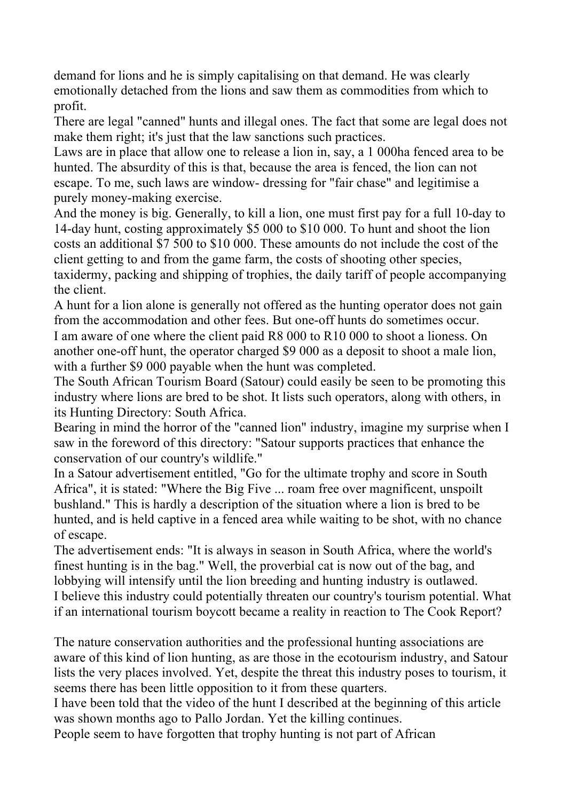demand for lions and he is simply capitalising on that demand. He was clearly emotionally detached from the lions and saw them as commodities from which to profit.

There are legal "canned" hunts and illegal ones. The fact that some are legal does not make them right; it's just that the law sanctions such practices.

Laws are in place that allow one to release a lion in, say, a 1 000ha fenced area to be hunted. The absurdity of this is that, because the area is fenced, the lion can not escape. To me, such laws are window- dressing for "fair chase" and legitimise a purely money-making exercise.

And the money is big. Generally, to kill a lion, one must first pay for a full 10-day to 14-day hunt, costing approximately \$5 000 to \$10 000. To hunt and shoot the lion costs an additional \$7 500 to \$10 000. These amounts do not include the cost of the client getting to and from the game farm, the costs of shooting other species, taxidermy, packing and shipping of trophies, the daily tariff of people accompanying the client.

A hunt for a lion alone is generally not offered as the hunting operator does not gain from the accommodation and other fees. But one-off hunts do sometimes occur. I am aware of one where the client paid R8 000 to R10 000 to shoot a lioness. On another one-off hunt, the operator charged \$9 000 as a deposit to shoot a male lion, with a further \$9 000 payable when the hunt was completed.

The South African Tourism Board (Satour) could easily be seen to be promoting this industry where lions are bred to be shot. It lists such operators, along with others, in its Hunting Directory: South Africa.

Bearing in mind the horror of the "canned lion" industry, imagine my surprise when I saw in the foreword of this directory: "Satour supports practices that enhance the conservation of our country's wildlife."

In a Satour advertisement entitled, "Go for the ultimate trophy and score in South Africa", it is stated: "Where the Big Five ... roam free over magnificent, unspoilt bushland." This is hardly a description of the situation where a lion is bred to be hunted, and is held captive in a fenced area while waiting to be shot, with no chance of escape.

The advertisement ends: "It is always in season in South Africa, where the world's finest hunting is in the bag." Well, the proverbial cat is now out of the bag, and lobbying will intensify until the lion breeding and hunting industry is outlawed. I believe this industry could potentially threaten our country's tourism potential. What if an international tourism boycott became a reality in reaction to The Cook Report?

The nature conservation authorities and the professional hunting associations are aware of this kind of lion hunting, as are those in the ecotourism industry, and Satour lists the very places involved. Yet, despite the threat this industry poses to tourism, it seems there has been little opposition to it from these quarters.

I have been told that the video of the hunt I described at the beginning of this article was shown months ago to Pallo Jordan. Yet the killing continues.

People seem to have forgotten that trophy hunting is not part of African